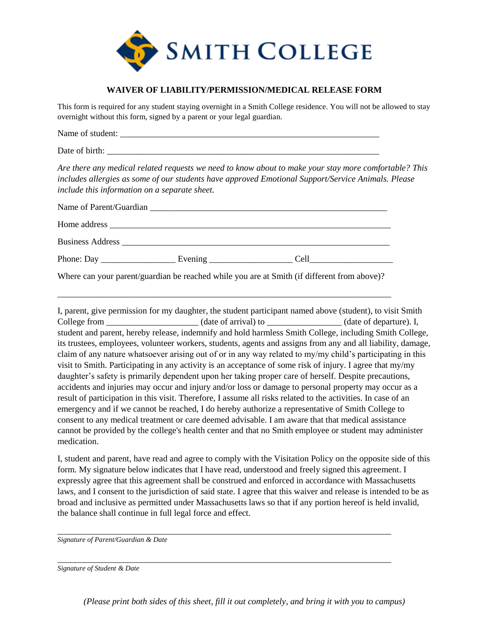

## **WAIVER OF LIABILITY/PERMISSION/MEDICAL RELEASE FORM**

This form is required for any student staying overnight in a Smith College residence. You will not be allowed to stay overnight without this form, signed by a parent or your legal guardian.

| Name of student: |  |  |  |
|------------------|--|--|--|
|                  |  |  |  |

Date of birth:

*Are there any medical related requests we need to know about to make your stay more comfortable? This includes allergies as some of our students have approved Emotional Support/Service Animals. Please include this information on a separate sheet.* 

| Phone: Day | Evening $\qquad \qquad$ | Cell<br><u> The Communication of the Communication of the Communication of the Communication of the Communication of the Co</u> |  |
|------------|-------------------------|---------------------------------------------------------------------------------------------------------------------------------|--|
|            |                         |                                                                                                                                 |  |

Where can your parent/guardian be reached while you are at Smith (if different from above)?

\_\_\_\_\_\_\_\_\_\_\_\_\_\_\_\_\_\_\_\_\_\_\_\_\_\_\_\_\_\_\_\_\_\_\_\_\_\_\_\_\_\_\_\_\_\_\_\_\_\_\_\_\_\_\_\_\_\_\_\_\_\_\_\_\_\_\_\_\_\_\_\_\_\_\_\_

I, parent, give permission for my daughter, the student participant named above (student), to visit Smith College from  $\qquad \qquad$  (date of arrival) to  $\qquad \qquad$  (date of departure). I, student and parent, hereby release, indemnify and hold harmless Smith College, including Smith College, its trustees, employees, volunteer workers, students, agents and assigns from any and all liability, damage, claim of any nature whatsoever arising out of or in any way related to my/my child's participating in this visit to Smith. Participating in any activity is an acceptance of some risk of injury. I agree that my/my daughter's safety is primarily dependent upon her taking proper care of herself. Despite precautions, accidents and injuries may occur and injury and/or loss or damage to personal property may occur as a result of participation in this visit. Therefore, I assume all risks related to the activities. In case of an emergency and if we cannot be reached, I do hereby authorize a representative of Smith College to consent to any medical treatment or care deemed advisable. I am aware that that medical assistance cannot be provided by the college's health center and that no Smith employee or student may administer medication.

I, student and parent, have read and agree to comply with the Visitation Policy on the opposite side of this form. My signature below indicates that I have read, understood and freely signed this agreement. I expressly agree that this agreement shall be construed and enforced in accordance with Massachusetts laws, and I consent to the jurisdiction of said state. I agree that this waiver and release is intended to be as broad and inclusive as permitted under Massachusetts laws so that if any portion hereof is held invalid, the balance shall continue in full legal force and effect.

\_\_\_\_\_\_\_\_\_\_\_\_\_\_\_\_\_\_\_\_\_\_\_\_\_\_\_\_\_\_\_\_\_\_\_\_\_\_\_\_\_\_\_\_\_\_\_\_\_\_\_\_\_\_\_\_\_\_\_\_\_\_\_\_\_\_\_\_\_\_\_\_\_\_\_\_

\_\_\_\_\_\_\_\_\_\_\_\_\_\_\_\_\_\_\_\_\_\_\_\_\_\_\_\_\_\_\_\_\_\_\_\_\_\_\_\_\_\_\_\_\_\_\_\_\_\_\_\_\_\_\_\_\_\_\_\_\_\_\_\_\_\_\_\_\_\_\_\_\_\_\_\_

*Signature of Parent/Guardian & Date* 

*Signature of Student & Date* 

*(Please print both sides of this sheet, fill it out completely, and bring it with you to campus)*